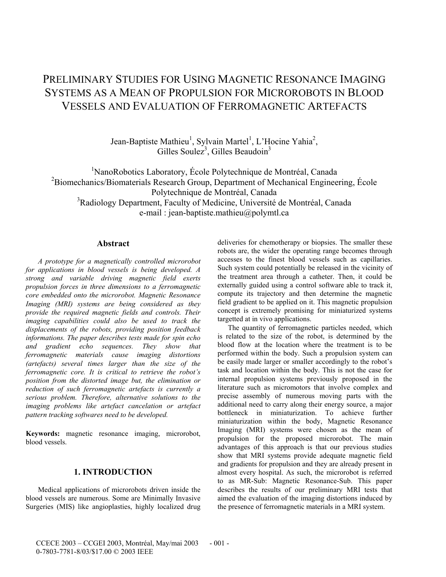# PRELIMINARY STUDIES FOR USING MAGNETIC RESONANCE IMAGING SYSTEMS AS A MEAN OF PROPULSION FOR MICROROBOTS IN BLOOD VESSELS AND EVALUATION OF FERROMAGNETIC ARTEFACTS

Jean-Baptiste Mathieu<sup>1</sup>, Sylvain Martel<sup>1</sup>, L'Hocine Yahia<sup>2</sup>, Gilles Soulez<sup>3</sup>, Gilles Beaudoin<sup>3</sup>

<sup>1</sup>NanoRobotics Laboratory, École Polytechnique de Montréal, Canada <sup>2</sup>Biomechanics/Biomaterials Research Group, Department of Mechanical Engineering, École Polytechnique de Montréal, Canada <sup>3</sup>Radiology Department, Faculty of Medicine, Université de Montréal, Canada e-mail : jean-baptiste.mathieu@polymtl.ca

## **Abstract**

 *A prototype for a magnetically controlled microrobot for applications in blood vessels is being developed. A strong and variable driving magnetic field exerts propulsion forces in three dimensions to a ferromagnetic core embedded onto the microrobot. Magnetic Resonance Imaging (MRI) systems are being considered as they provide the required magnetic fields and controls. Their imaging capabilities could also be used to track the displacements of the robots, providing position feedback informations. The paper describes tests made for spin echo and gradient echo sequences. They show that ferromagnetic materials cause imaging distortions (artefacts) several times larger than the size of the ferromagnetic core. It is critical to retrieve the robot's position from the distorted image but, the elimination or reduction of such ferromagnetic artefacts is currently a serious problem. Therefore, alternative solutions to the imaging problems like artefact cancelation or artefact pattern tracking softwares need to be developed.* 

**Keywords:** magnetic resonance imaging, microrobot, blood vessels.

## **1. INTRODUCTION**

Medical applications of microrobots driven inside the blood vessels are numerous. Some are Minimally Invasive Surgeries (MIS) like angioplasties, highly localized drug deliveries for chemotherapy or biopsies. The smaller these robots are, the wider the operating range becomes through accesses to the finest blood vessels such as capillaries. Such system could potentially be released in the vicinity of the treatment area through a catheter. Then, it could be externally guided using a control software able to track it, compute its trajectory and then determine the magnetic field gradient to be applied on it. This magnetic propulsion concept is extremely promising for miniaturized systems targetted at in vivo applications.

The quantity of ferromagnetic particles needed, which is related to the size of the robot, is determined by the blood flow at the location where the treatment is to be performed within the body. Such a propulsion system can be easily made larger or smaller accordingly to the robot's task and location within the body. This is not the case for internal propulsion systems previously proposed in the literature such as micromotors that involve complex and precise assembly of numerous moving parts with the additional need to carry along their energy source, a major bottleneck in miniaturization. To achieve further miniaturization within the body, Magnetic Resonance Imaging (MRI) systems were chosen as the mean of propulsion for the proposed microrobot. The main advantages of this approach is that our previous studies show that MRI systems provide adequate magnetic field and gradients for propulsion and they are already present in almost every hospital. As such, the microrobot is referred to as MR-Sub: Magnetic Resonance-Sub. This paper describes the results of our preliminary MRI tests that aimed the evaluation of the imaging distortions induced by the presence of ferromagnetic materials in a MRI system.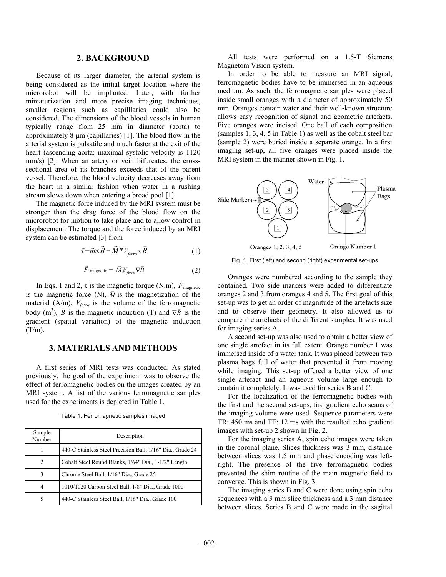## **2. BACKGROUND**

Because of its larger diameter, the arterial system is being considered as the initial target location where the microrobot will be implanted. Later, with further miniaturization and more precise imaging techniques, smaller regions such as capilllaries could also be considered. The dimensions of the blood vessels in human typically range from 25 mm in diameter (aorta) to approximately 8 µm (capillaries) [1]. The blood flow in the arterial system is pulsatile and much faster at the exit of the heart (ascending aorta: maximal systolic velocity is 1120 mm/s) [2]. When an artery or vein bifurcates, the crosssectional area of its branches exceeds that of the parent vessel. Therefore, the blood velocity decreases away from the heart in a similar fashion when water in a rushing stream slows down when entering a broad pool [1].

The magnetic force induced by the MRI system must be stronger than the drag force of the blood flow on the microrobot for motion to take place and to allow control in displacement. The torque and the force induced by an MRI system can be estimated [3] from

$$
\vec{\tau} = \vec{m} \times \vec{B} = \vec{M}^* V_{\text{ferro}} \times \vec{B}
$$
 (1)

$$
\vec{F}_{\text{magnetic}} = \vec{M} V_{\text{ferro}} \nabla \vec{B}
$$
 (2)

In Eqs. 1 and 2,  $\tau$  is the magnetic torque (N.m),  $\vec{F}_{\text{magnetic}}$ is the magnetic force  $(N)$ ,  $\vec{M}$  is the magnetization of the material (A/m),  $V_{\text{ferra}}$  is the volume of the ferromagnetic body (m<sup>3</sup>),  $\vec{B}$  is the magnetic induction (T) and  $\nabla \vec{B}$  is the gradient (spatial variation) of the magnetic induction  $(T/m)$ .

## **3. MATERIALS AND METHODS**

A first series of MRI tests was conducted. As stated previously, the goal of the experiment was to observe the effect of ferromagnetic bodies on the images created by an MRI system. A list of the various ferromagnetic samples used for the experiments is depicted in Table 1.

Table 1. Ferromagnetic samples imaged

| Sample<br>Number | Description                                                |
|------------------|------------------------------------------------------------|
|                  | 440-C Stainless Steel Precision Ball, 1/16" Dia., Grade 24 |
|                  | Cobalt Steel Round Blanks, 1/64" Dia., 1-1/2" Length       |
| 3                | Chrome Steel Ball, 1/16" Dia., Grade 25                    |
|                  | 1010/1020 Carbon Steel Ball, 1/8" Dia., Grade 1000         |
|                  | 440-C Stainless Steel Ball, 1/16" Dia., Grade 100          |

All tests were performed on a 1.5-T Siemens Magnetom Vision system.

In order to be able to measure an MRI signal, ferromagnetic bodies have to be immersed in an aqueous medium. As such, the ferromagnetic samples were placed inside small oranges with a diameter of approximately 50 mm. Oranges contain water and their well-known structure allows easy recognition of signal and geometric artefacts. Five oranges were incised. One ball of each composition (samples 1, 3, 4, 5 in Table 1) as well as the cobalt steel bar (sample 2) were buried inside a separate orange. In a first imaging set-up, all five oranges were placed inside the MRI system in the manner shown in Fig. 1.



Fig. 1. First (left) and second (right) experimental set-ups

Oranges were numbered according to the sample they contained. Two side markers were added to differentiate oranges 2 and 3 from oranges 4 and 5. The first goal of this set-up was to get an order of magnitude of the artefacts size and to observe their geometry. It also allowed us to compare the artefacts of the different samples. It was used for imaging series A.

A second set-up was also used to obtain a better view of one single artefact in its full extent. Orange number 1 was immersed inside of a water tank. It was placed between two plasma bags full of water that prevented it from moving while imaging. This set-up offered a better view of one single artefact and an aqueous volume large enough to contain it completely. It was used for series B and C.

For the localization of the ferromagnetic bodies with the first and the second set-ups, fast gradient echo scans of the imaging volume were used. Sequence parameters were TR: 450 ms and TE: 12 ms with the resulted echo gradient images with set-up 2 shown in Fig. 2.

For the imaging series A, spin echo images were taken in the coronal plane. Slices thickness was 3 mm, distance between slices was 1.5 mm and phase encoding was leftright. The presence of the five ferromagnetic bodies prevented the shim routine of the main magnetic field to converge. This is shown in Fig. 3.

The imaging series B and C were done using spin echo sequences with a 3 mm slice thickness and a 3 mm distance between slices. Series B and C were made in the sagittal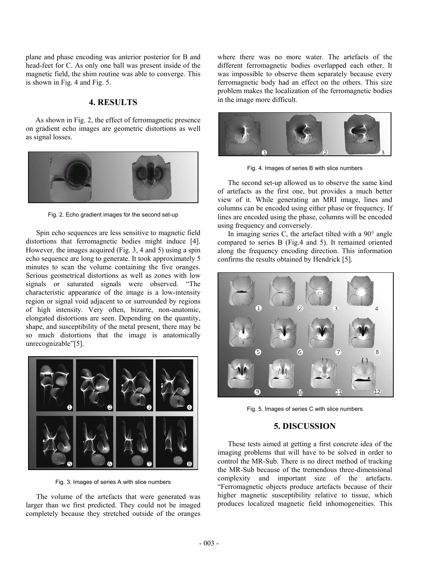plane and phase encoding was anterior posterior for B and head-feet for C. As only one ball was present inside of the magnetic field, the shim routine was able to converge. This is shown in Fig. 4 and Fig. 5.

## **4. RESULTS**

As shown in Fig. 2, the effect of ferromagnetic presence on gradient echo images are geometric distortions as well as signal losses.



Fig. 2. Echo gradient images for the second set-up

Spin echo sequences are less sensitive to magnetic field distortions that ferromagnetic bodies might induce [4]. However, the images acquired (Fig. 3, 4 and 5) using a spin echo sequence are long to generate. It took approximately 5 minutes to scan the volume containing the five oranges. Serious geometrical distortions as well as zones with low signals or saturated signals were observed. "The characteristic appearance of the image is a low-intensity region or signal void adjacent to or surrounded by regions of high intensity. Very often, bizarre, non-anatomic, elongated distortions are seen. Depending on the quantity, shape, and susceptibility of the metal present, there may be so much distortions that the image is anatomically unrecognizable"[5].



Fig. 3. Images of series A with slice numbers

The volume of the artefacts that were generated was larger than we first predicted. They could not be imaged completely because they stretched outside of the oranges

where there was no more water. The artefacts of the different ferromagnetic bodies overlapped each other. It was impossible to observe them separately because every ferromagnetic body had an effect on the others. This size problem makes the localization of the ferromagnetic bodies in the image more difficult.



Fig. 4. Images of series B with slice numbers

The second set-up allowed us to observe the same kind of artefacts as the first one, but provides a much better view of it. While generating an MRI image, lines and columns can be encoded using either phase or frequency. If lines are encoded using the phase, columns will be encoded using frequency and conversely.

In imaging series C, the artefact tilted with a  $90^\circ$  angle compared to series B (Fig.4 and 5). It remained oriented along the frequency encoding direction. This information confirms the results obtained by Hendrick [5].



Fig. 5. Images of series C with slice numbers

## **5. DISCUSSION**

These tests aimed at getting a first concrete idea of the imaging problems that will have to be solved in order to control the MR-Sub. There is no direct method of tracking the MR-Sub because of the tremendous three-dimensional complexity and important size of the artefacts. "Ferromagnetic objects produce artefacts because of their higher magnetic susceptibility relative to tissue, which produces localized magnetic field inhomogeneities. This